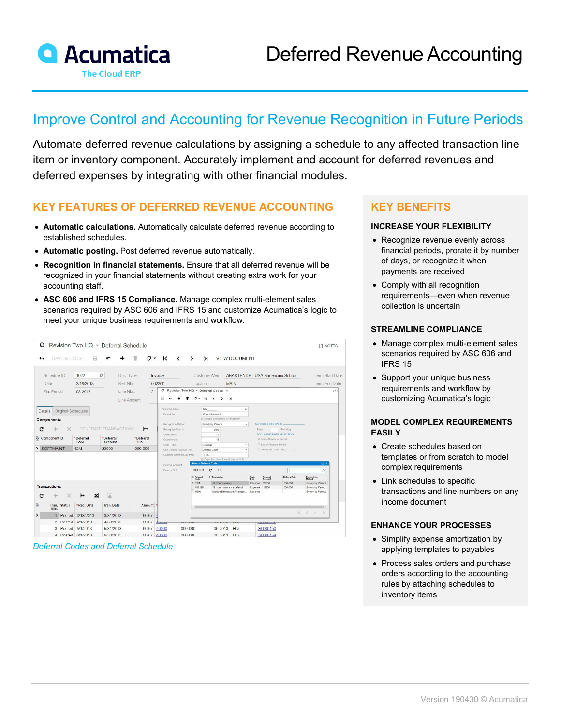

# Improve Control and Accounting for Revenue Recognition in Future Periods

Automate deferred revenue calculations by assigning a schedule to any affected transaction line item or inventory component. Accurately implement and account for deferred revenues and deferred expenses by integrating with other financial modules.

### **KEY FEATURES OF DEFERRED REVENUE ACCOUNTING**

- **Automatic calculations.** Automatically calculate deferred revenue according to established schedules.
- **Automatic posting.** Post deferred revenue automatically.
- **Recognition in financial statements.** Ensure that all deferred revenue will be recognized in your financial statements without creating extra work for your accounting staff.
- **ASC 606 and IFRS 15 Compliance.** Manage complex multi-element sales scenarios required by ASC 606 and IFRS 15 and customize Acumatica's logic to meet your unique business requirements and workflow.

| o                                                                 |               |                                      | Revision Two HQ * Deferral Schedule                       |                              |                                                        |                                      |                        |                                           |                                      |                                                        |                         |                    | <b>NOTES</b>                           |
|-------------------------------------------------------------------|---------------|--------------------------------------|-----------------------------------------------------------|------------------------------|--------------------------------------------------------|--------------------------------------|------------------------|-------------------------------------------|--------------------------------------|--------------------------------------------------------|-------------------------|--------------------|----------------------------------------|
| ←                                                                 | SAVE & CLOSE  | ₽                                    |                                                           | û<br>۴÷                      | К<br>$\overline{\phantom{a}}$                          | $\rightarrow$                        | $\lambda$              |                                           | <b>VIEW DOCUMENT</b>                 |                                                        |                         |                    |                                        |
| $\Omega$<br>Schedule ID<br>1022<br>Doc. Type:                     |               |                                      | Customer/Ven ABARTENDE - USA Bartending School<br>Invoice |                              |                                                        |                                      |                        |                                           | Term Start Date                      |                                                        |                         |                    |                                        |
| Date:                                                             |               | 3/18/2013                            |                                                           | Ref. Nbr:                    |                                                        | 002200<br><b>MAIN</b><br>Location:   |                        |                                           |                                      |                                                        | Term End Date:          |                    |                                        |
| Fin. Period:                                                      |               | 03-2013                              |                                                           | Line Nbr.:<br>$\overline{2}$ |                                                        | ○ Revision Two HQ · Deferral Codes ★ |                        |                                           |                                      |                                                        |                         | D'                 |                                        |
|                                                                   |               |                                      |                                                           |                              | 圓                                                      | n -                                  | $\mathsf{K}$           | $\rightarrow$<br>$\overline{\phantom{a}}$ | $\geq$                               |                                                        |                         |                    |                                        |
|                                                                   |               |                                      |                                                           | Line Amount:                 |                                                        |                                      |                        |                                           |                                      |                                                        |                         |                    |                                        |
| Original Schedules<br><b>Details</b>                              |               |                                      |                                                           |                              | * Deferral Code                                        |                                      | 12M                    |                                           |                                      | ø                                                      |                         |                    |                                        |
|                                                                   |               | Description:                         |                                                           |                              | 12 months evenly<br>B Multiple-Deliverable Arrangement |                                      |                        |                                           |                                      |                                                        |                         |                    |                                        |
| <b>Components</b>                                                 |               | Recognition Method:                  |                                                           | Evenly by Periods<br>$\sim$  |                                                        |                                      |                        | <b>SCHEDULE SETTINGS</b>                  |                                      |                                                        |                         |                    |                                        |
| <b>GENERATE TRANSACTIONS</b><br>$\left  \rightarrow \right $<br>c |               |                                      |                                                           |                              | Recognize Now %:                                       |                                      | 0.00                   |                                           |                                      | Every:                                                 |                         | 1 Period(s)        |                                        |
|                                                                   |               | *Deferral                            | *Deferral                                                 | *Deferral                    | Start Offset:                                          |                                      |                        | $\circ$                                   |                                      |                                                        | DOCUMENT DATE SELECTION |                    |                                        |
| Component ID                                                      |               | Code                                 | <b>Account</b>                                            | Sub.                         | Occurrences<br>Code Type:                              |                                      | 12<br>Revenue          |                                           | $\sim$                               | Start of Financial Period<br>C End of Financial Period |                         |                    |                                        |
| > SOFTMAINT                                                       |               | 12M                                  | 23000                                                     | 000-000                      | Use Deferral Account from:                             | Deferral Code                        |                        | $\sim$                                    | C Fixed Day of the Period            | $\overline{1}$                                         |                         |                    |                                        |
|                                                                   |               |                                      |                                                           |                              | · Combine Deferral Sub. from:                          |                                      | DDD-DDD                |                                           |                                      |                                                        |                         |                    |                                        |
|                                                                   |               |                                      |                                                           |                              |                                                        |                                      | Select - Deferral Code |                                           | El Copy Sub. from Sales/Expense Sub. |                                                        |                         |                    | $\neg x$                               |
|                                                                   |               |                                      |                                                           |                              | Deferral Account:<br>Deferral Sub.                     | <b>SELECT</b>                        |                        | c<br>$\mathbf{H}$                         |                                      |                                                        |                         |                    | $\circ$                                |
|                                                                   |               |                                      |                                                           |                              |                                                        | <b>IR Deferral</b>                   |                        | † Description                             |                                      | Code                                                   | Deferral                | Deferral Sub.      | Recognition                            |
|                                                                   |               |                                      |                                                           |                              |                                                        | Code                                 |                        |                                           |                                      | Type                                                   | Account                 |                    | Method                                 |
| <b>Transactions</b>                                               |               |                                      |                                                           |                              |                                                        | $\geq$ 12M                           | <b>INS12M</b>          | 12 months evenly                          | 12 month insurance deferral          | Revenue<br><b>Expense</b>                              | 23000<br>13100          | 000-000<br>000-000 | Eventy by Periods<br>Evenly by Period. |
|                                                                   |               |                                      |                                                           |                              |                                                        | <b>MDA</b>                           |                        |                                           | Multiple-Deliverable Arrangem.       | Revenue                                                |                         |                    | Evenly by Periods                      |
| c                                                                 |               | $\overline{\mathbf{x}}$<br>$\mapsto$ | 国                                                         |                              |                                                        |                                      |                        |                                           |                                      |                                                        |                         |                    |                                        |
| 島<br>Tran.<br>Nbr.                                                | <b>Status</b> | *Rec. Date                           | <b>Tran. Date</b>                                         | Amount                       |                                                        |                                      |                        |                                           |                                      |                                                        |                         |                    | ı,                                     |
| $\mathbf{1}$                                                      | Posted        | 3/18/2013                            | 3/31/2013                                                 | 66.67                        |                                                        |                                      |                        |                                           |                                      |                                                        |                         | $\mathbb{K}$       | $\langle \rangle$<br>$\lambda$         |
| $\overline{2}$                                                    | Posted        | 4/1/2013                             | 4/30/2013                                                 | 66.67                        | tvovo                                                  | vvv vvv                              |                        | <b>VILVIV</b>                             | <b>TTSK</b>                          |                                                        | <b>MEMMUTTE</b>         |                    |                                        |
| 3                                                                 |               | Posted 5/1/2013                      | 5/31/2013                                                 | 66.67                        | 40000                                                  | $000 - 000$                          |                        | 05-2013                                   | <b>HQ</b>                            |                                                        | GL000150                |                    |                                        |
| 4                                                                 |               | Posted 6/1/2013                      | 6/30/2013                                                 | 66.67                        | 40000                                                  | 000-000                              |                        | 06-2013                                   | HQ                                   |                                                        | GL000158                |                    |                                        |

*Deferral Codes and Deferral Schedule*

## **KEY BENEFITS**

#### **INCREASE YOUR FLEXIBILITY**

- Recognize revenue evenly across financial periods, prorate it by number of days, or recognize it when payments are received
- Comply with all recognition requirements—even when revenue collection is uncertain

#### **STREAMLINE COMPLIANCE**

- Manage complex multi-element sales scenarios required by ASC 606 and IFRS 15
- Support your unique business requirements and workflow by customizing Acumatica's logic

#### **MODEL COMPLEX REQUIREMENTS EASILY**

- Create schedules based on templates or from scratch to model complex requirements
- Link schedules to specific transactions and line numbers on any income document

#### **ENHANCE YOUR PROCESSES**

- Simplify expense amortization by applying templates to payables
- Process sales orders and purchase orders according to the accounting rules by attaching schedules to inventory items